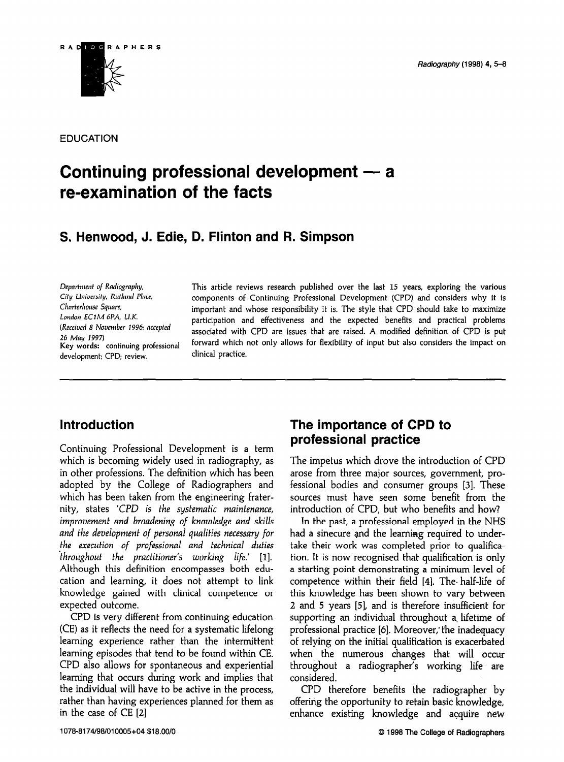

EDUCATION

# Continuing professional development  $-$  a re-examination of the facts

# S. Henwood, J. Edie, D. Flinton and R. Simpson

Charterhouse Square, London EClM 6PA, U.K. (Received 8 Noumber 1996; accepted 26 May 1997) development; CPD; review. clinical practice.

Department of Radiography, This article reviews research published over the last 15 years, exploring the various City University, Rutland Place, components of Continuing Professional Development (CPD) and considers why it is important and whose responsibility it is. The style that CPD should take to maximize participation and effectiveness and the expected benefits and practical problems associated with CPD are issues that are raised. A modified definition of CPD is put Key words: continuing professional forward which not only allows for flexibility of input but also considers the impact on

# Introduction

Continuing Professional Development is a term which is becoming widely used in radiography, as in other professions. The definition which has been adopted by the College of Radiographers and which has been taken from the engineering fraternity, states 'CPD is the systematic maintenance, improvement and broadening of knowledge and skills and the development of personal qualities necessary for the execution of professional and technical duties  $throughout$  the practitioner's working life.'  $[1]$ . Although this definition encompasses both education and learning, it does not attempt to link knowledge gained with clinical competence or expected outcome.

CPD is very different from continuing education  $(CFV - H - H)$  and  $F = H \cdot H + H \cdot H$  $\sum_{i=1}^{\infty}$  as it reflects the intermittent method learning experience that that the intermediate commis episodes mat tend to be found within  $\epsilon$ CPD also allows for spontaneous and experiential learning that occurs during work and implies that the individual will have to be active in the process, rather than having experiences planned for them as<br>in the case of  $CE$  [2]

### The importance of CPD to professional practice

The impetus which drove the introduction of CPD arose from three major sources, government, professional bodies and consumer groups [3]. These sources must have seen some benefit from the introduction of CPD, but who benefits and how?

In the past, a professional employed in the NHS had a sinecure and the learning required to undertake their work was completed prior to qualification. It is now recognised that qualification is only a starting point demonstrating a minimum level of competence within their field [4]. The- half-life of  $t_1$  the has been shown to vary between shown to vary between shown to vary between  $t_1$  $2 \times 1 \times 1 \times 1$ , and  $2 \times 1 \times 1 \times 1$ , and it is the insufficient for  $\frac{1}{2}$ 2 and 5 years [5], and is therefore insufficient for supporting an individual throughout a lifetime of professional practice [6]. Moreover, the inadequacy  $\sum_{i=1}^{n}$  relative  $\sum_{i=1}^{n}$  relative initial  $\sum_{i=1}^{n}$ when the numerous changes that will occur when the numerous changes that will occur throughout a radiographer's working life are<br>considered.  $\overline{C}$ 

offering the opportunity to retain basic knowledge, offering the opportunity to retain basic knowledge,<br>enhance existing knowledge and acquire new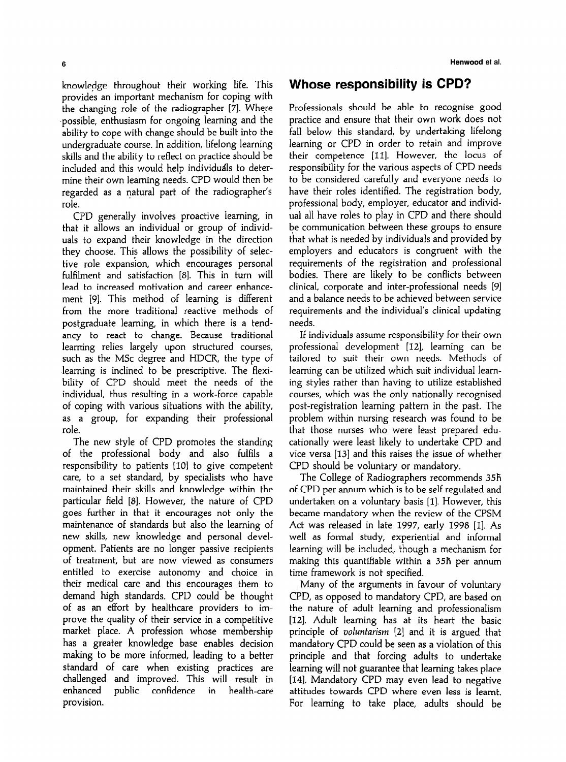knowledge throughout their working life. This provides an important mechanism for coping with the changing role of the radiographer [7]. Where ,possible, enthusiasm for ongoing learning and the ability to cope with change should be built into the undergraduate course. In addition, lifelong learning skills and the ability to reflect on practice should be included and this would help individudls to determine their own learning needs. CPD would then be regarded as a natural part of the radiographer's role.

CPD generally involves proactive learning, in that it allows an individual or group of individuals to expand their knowledge in the direction they choose. This allows the possibility of selective role expansion, which encourages personal fulfilment and satisfaction [8]. This in turn will lead to increased motivation and career enhancement [9]. This method of learning is different from the more traditional reactive methods of postgraduate learning, in which there is a tendancy to react to change. Because traditional learning relies largely upon structured courses, such as the MSc degree and HDCR, the type of learning is inclined to be prescriptive. The flexibility of CPD should meet the needs of the individual, thus resulting in a work-force capable of coping with various situations with the ability, as a group, for expanding their professional role.

The new style of CPD promotes the standing of the professional body and also fulfils a responsibility to patients [10] to give competent care, to a set standard, by specialists who have maintained their skills and knowledge within the particular field [S]. However, the nature of CPD goes further in that it encourages not only the maintenance of standards but also the learning of new skills, new knowledge and personal development. Patients are no longer passive recipients of treatment, but are now viewed as consumers entitled to exercise autonomy and choice in their medical care and this encourages them to demand high standards. CPD could be thought of as an effort by healthcare providers to improve the quality of their service in a competitive market place. A profession whose membership has a greater knowledge base enables decision making to be more informed, leading to a better standard of care when existing practices are challenged and improved. This will result in enhanced public confidence in health-care provision.

#### Whose responsibility is CPD?

Professionals should be able to recognise good practice and ensure that their own work does not fall below this standard, by undertaking lifelong learning or CPD in order to retain and improve their competence [II]. However, the locus of responsibility for the various aspects of CPD needs to be considered carefully and everyone needs to have their roles identified. The registration body, professional body, employer, educator and individual all have roles to play in CPD and there should be communication between these groups to ensure that what is needed by individuals and provided by employers and educators is congruent with the requirements of the registration and professional bodies. There are likely to be conflicts between clinical, corporate and inter-professional needs [9] and a balance needs to be achieved between service requirements and the individual's clinical updating needs.

If individuals assume responsibility for their own professional development [12], learning can be tailored to suit their own needs. Methods of learning can be utilized which suit individual leaming styles rather than having to utilize established courses, which was the only nationally recognised post-registration learning pattern in the past. The problem within nursing research was found to be that those nurses who were least prepared educationally were least likely to undertake CPD and vice versa [13] and this raises the issue of whether CPD should be voluntary or mandatory.

The College of Radiographers recommends 35h of CPD per annum which is to be self regulated and undertaken on a voluntary basis [I]. However, this became mandatory when the review of the CPSM Act was released in late 1997, early 1998 [1]. As well as formal study, experiential and informal learning will be included, though a mechanism for making this quantifiable within a 35h per annum time framework is not specified.

Many of the arguments in favour of voluntary CPD, as opposed to mandatory CPD, are based on the nature of adult learning and professionalism [12]. Adult learning has at its heart the basic principle of *voluntarism*  $[2]$  and it is argued that mandatory CPD could be seen as a violation of this principle and that forcing adults to undertake learning will not guarantee that learning takes place 1141. Mandatory CPD may even lead to negative attitudes towards CPD where even less is learnt. For learning to take place, adults should be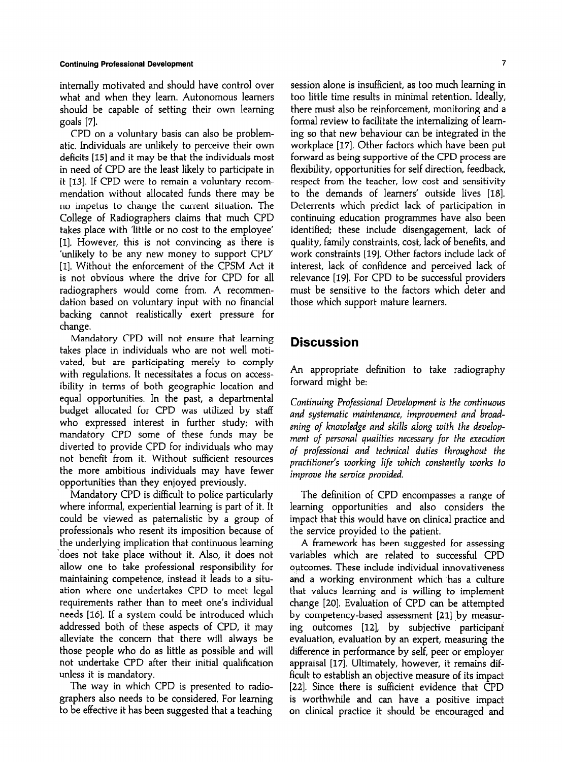internally motivated and should have control over what and when they learn. Autonomous learners should be capable of setting their own learning goals [7].

CPD on a voluntary basis can also be problematic. Individuals are unlikely to perceive their own deficits [IS] and it may be that the individuals most in need of CPD are the least likely to participate in it [13]. If CPD were to remain a voluntary recommendation without allocated funds there may be no impetus to change the current situation. The College of Radiographers claims that much CPD takes place with 'little or no cost to the employee' [1]. However, this is not convincing as there is 'unlikely to be any new money to support CPD [1]. Without the enforcement of the CPSM Act it is not obvious where the drive for CPD for all radiographers would come from. A recommendation based on voluntary input with no financial backing cannot realistically exert pressure for change.

Mandatory CPD will not ensure that learning takes place in individuals who are not well motivated, but are participating merely to comply with regulations. It necessitates a focus on accessibility in terms of both geographic location and equal opportunities. In the past, a departmental budget allocated for CPD was utilized by staff who expressed interest in further study; with mandatory CPD some of these funds may be diverted to provide CPD for individuals who may not benefit from it. Without sufficient resources the more ambitious individuals may have fewer opportunities than they enjoyed previously.

Mandatory CPD is difficult to police particularly where informal, experiential learning is part of it. It could be viewed as paternalistic by a group of professionals who resent its imposition because of the underlying implication that continuous learning 'does not take place without it. Also, it does not allow one to take professional responsibility for maintaining competence, instead it leads to a situation where one undertakes CPD to meet legal requirements rather than to meet one's individual needs [16]. If a system could be introduced which  $\alpha$  defines at the set of these aspects of  $\alpha$ PD, it may be defined by  $\alpha$ all  $\alpha$  and the concern that the concern that the concern that the concern that the concern that the concern that the concern that  $\alpha$ alleviate the concern that there will always be<br>those people who do as little as possible and will not undertake CPD after their initial difficult  $\frac{1}{2}$  is mathematic  $\frac{1}{2}$ .  $T<sup>1</sup>$  is manufactory.

ers way in much cro to presence to factor graphers also needs to be considered. For learning<br>to be effective it has been suggested that a teaching session alone is insufficient, as too much learning in too little time results in minimal retention. Ideally, there must also be reinforcement, monitoring and a formal review to facilitate the internalizing of leaming so that new behaviour can be integrated in the workplace [17]. Other factors which have been put forward as being supportive of the CPD process are flexibility, opportunities for self direction, feedback, respect from the teacher, low cost and sensitivity to the demands of learners' outside lives [18]. Deterrents which predict lack of participation in continuing education programmes have also been identified; these include disengagement, lack of quality, family constraints, cost, lack of benefits, and work constraints [19]. Other factors include lack of interest, lack of confidence and perceived lack of relevance [19]. For CPD to be successful providers must be sensitive to the factors which deter and those which support mature learners.

#### **Discussion**

An appropriate definition to take radiography forward might be:

Continuing Professional Development is the continuous and systematic maintenance, improvement and broadening of knowledge and skills along with the development of personal qualities necessary for the execution of professional and technical duties throughout the practitioner's working life which constantly works to improve the service provided.

The definition of CPD encompasses a range of learning opportunities and also considers the impact that this would have on clinical practice and the service provided to the patient.

A framework has been suggested for assessing variables which are related to successful CPD outcomes. These include individual innovativeness and a working environment which has a culture that values learning and is willing to implement change [20]. Evaluation of CPD can be attempted  $b = \frac{1}{1}$  ,  $b = \frac{1}{1}$  ,  $b = \frac{1}{1}$ sy comparantly subcalled association participant products evaluation by subjective participant  $\frac{d}{dx}$  is the performance by set  $\frac{d}{dx}$  by section  $\frac{d}{dx}$ approximately, however, peer of employer appraisal [17]. Ultimately, however, it remains difficult to establish an objective measure of its impact [22]. Since there is sufficient evidence that CPD is worthwhile and can have a positive impact<br>on clinical practice it should be encouraged and